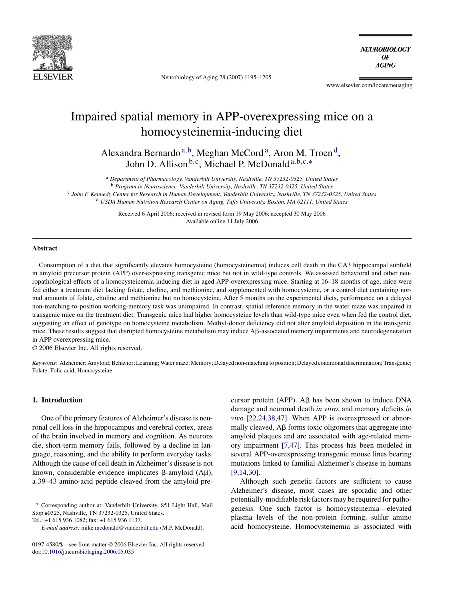

Neurobiology of Aging 28 (2007) 1195–1205

**NEUROBIOLOGY** OF **AGING** 

www.elsevier.com/locate/neuaging

## Impaired spatial memory in APP-overexpressing mice on a homocysteinemia-inducing diet

Alexandra Bernardo <sup>a, b</sup>, Meghan McCord<sup>a</sup>, Aron M. Troen<sup>d</sup>, John D. Allison <sup>b, c</sup>, Michael P. McDonald<sup>a, b, c,∗</sup>

<sup>a</sup> *Department of Pharmacology, Vanderbilt University, Nashville, TN 37232-0325, United States*

<sup>b</sup> *Program in Neuroscience, Vanderbilt University, Nashville, TN 37232-0325, United States*

<sup>c</sup> *John F. Kennedy Center for Research in Human Development, Vanderbilt University, Nashville, TN 37232-0325, United States*

<sup>d</sup> *USDA Human Nutrition Research Center on Aging, Tufts University, Boston, MA 02111, United States*

Received 6 April 2006; received in revised form 19 May 2006; accepted 30 May 2006 Available online 11 July 2006

#### **Abstract**

Consumption of a diet that significantly elevates homocysteine (homocysteinemia) induces cell death in the CA3 hippocampal subfield in amyloid precursor protein (APP) over-expressing transgenic mice but not in wild-type controls. We assessed behavioral and other neuropathological effects of a homocysteinemia-inducing diet in aged APP-overexpressing mice. Starting at 16–18 months of age, mice were fed either a treatment diet lacking folate, choline, and methionine, and supplemented with homocysteine, or a control diet containing normal amounts of folate, choline and methionine but no homocysteine. After 5 months on the experimental diets, performance on a delayed non-matching-to-position working-memory task was unimpaired. In contrast, spatial reference memory in the water maze was impaired in transgenic mice on the treatment diet. Transgenic mice had higher homocysteine levels than wild-type mice even when fed the control diet, suggesting an effect of genotype on homocysteine metabolism. Methyl-donor deficiency did not alter amyloid deposition in the transgenic mice. These results suggest that disrupted homocysteine metabolism may induce A $\beta$ -associated memory impairments and neurodegeneration in APP overexpressing mice.

© 2006 Elsevier Inc. All rights reserved.

*Keywords:* Alzheimer; Amyloid; Behavior; Learning; Water maze; Memory; Delayed non-matching to position; Delayed conditional discrimination; Transgenic; Folate; Folic acid; Homocysteine

## **1. Introduction**

One of the primary features of Alzheimer's disease is neuronal cell loss in the hippocampus and cerebral cortex, areas of the brain involved in memory and cognition. As neurons die, short-term memory fails, followed by a decline in language, reasoning, and the ability to perform everyday tasks. Although the cause of cell death in Alzheimer's disease is not known, considerable evidence implicates  $\beta$ -amyloid (A $\beta$ ), a 39–43 amino-acid peptide cleaved from the amyloid pre-

Tel.: +1 615 936 1082; fax: +1 615 936 1137.

cursor protein (APP).  $\overrightarrow{AB}$  has been shown to induce DNA damage and neuronal death *in vitro*, and memory deficits *in vivo* [\[22,24,38,47\].](#page--1-0) When APP is overexpressed or abnormally cleaved,  $\overline{AB}$  forms toxic oligomers that aggregate into amyloid plaques and are associated with age-related memory impairment [\[7,47\].](#page--1-0) This process has been modeled in several APP-overexpressing transgenic mouse lines bearing mutations linked to familial Alzheimer's disease in humans [\[9,14,30\].](#page--1-0)

Although such genetic factors are sufficient to cause Alzheimer's disease, most cases are sporadic and other potentially-modifiable risk factors may be required for pathogenesis. One such factor is homocysteinemia—elevated plasma levels of the non-protein forming, sulfur amino acid homocysteine. Homocysteinemia is associated with

<sup>∗</sup> Corresponding author at: Vanderbilt University, 851 Light Hall, Mail Stop #0325, Nashville, TN 37232-0325, United States.

*E-mail address:* [mike.mcdonald@vanderbilt.edu](mailto:mike.mcdonald@vanderbilt.edu) (M.P. McDonald).

<sup>0197-4580/\$ –</sup> see front matter © 2006 Elsevier Inc. All rights reserved. doi[:10.1016/j.neurobiolaging.2006.05.035](dx.doi.org/10.1016/j.neurobiolaging.2006.05.035)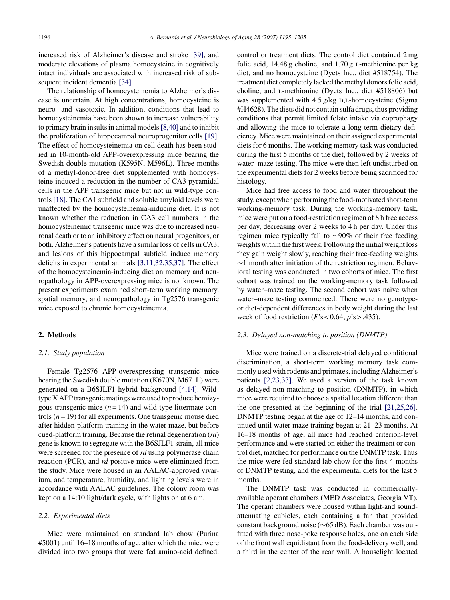increased risk of Alzheimer's disease and stroke [\[39\],](#page--1-0) and moderate elevations of plasma homocysteine in cognitively intact individuals are associated with increased risk of subsequent incident dementia [\[34\].](#page--1-0)

The relationship of homocysteinemia to Alzheimer's disease is uncertain. At high concentrations, homocysteine is neuro- and vasotoxic. In addition, conditions that lead to homocysteinemia have been shown to increase vulnerability to primary brain insults in animal models[\[8,40\]](#page--1-0) and to inhibit the proliferation of hippocampal neuroprogenitor cells [\[19\].](#page--1-0) The effect of homocysteinemia on cell death has been studied in 10-month-old APP-overexpressing mice bearing the Swedish double mutation (K595N, M596L). Three months of a methyl-donor-free diet supplemented with homocysteine induced a reduction in the number of CA3 pyramidal cells in the APP transgenic mice but not in wild-type controls [\[18\]. T](#page--1-0)he CA1 subfield and soluble amyloid levels were unaffected by the homocysteinemia-inducing diet. It is not known whether the reduction in CA3 cell numbers in the homocysteinemic transgenic mice was due to increased neuronal death or to an inhibitory effect on neural progenitors, or both. Alzheimer's patients have a similar loss of cells in CA3, and lesions of this hippocampal subfield induce memory deficits in experimental animals [\[3,11,32,35,37\].](#page--1-0) The effect of the homocysteinemia-inducing diet on memory and neuropathology in APP-overexpressing mice is not known. The present experiments examined short-term working memory, spatial memory, and neuropathology in Tg2576 transgenic mice exposed to chronic homocysteinemia.

## **2. Methods**

#### *2.1. Study population*

Female Tg2576 APP-overexpressing transgenic mice bearing the Swedish double mutation (K670N, M671L) were generated on a B6SJLF1 hybrid background [\[4,14\].](#page--1-0) Wildtype X APP transgenic matings were used to produce hemizygous transgenic mice  $(n = 14)$  and wild-type littermate controls  $(n = 19)$  for all experiments. One transgenic mouse died after hidden-platform training in the water maze, but before cued-platform training. Because the retinal degeneration (*rd*) gene is known to segregate with the B6SJLF1 strain, all mice were screened for the presence of *rd* using polymerase chain reaction (PCR), and *rd*-positive mice were eliminated from the study. Mice were housed in an AALAC-approved vivarium, and temperature, humidity, and lighting levels were in accordance with AALAC guidelines. The colony room was kept on a 14:10 light/dark cycle, with lights on at 6 am.

## *2.2. Experimental diets*

Mice were maintained on standard lab chow (Purina #5001) until 16–18 months of age, after which the mice were divided into two groups that were fed amino-acid defined, control or treatment diets. The control diet contained 2 mg folic acid,  $14.48$  g choline, and  $1.70$  g L-methionine per kg diet, and no homocysteine (Dyets Inc., diet #518754). The treatment diet completely lacked the methyl donors folic acid, choline, and l-methionine (Dyets Inc., diet #518806) but was supplemented with 4.5 g/kg D,L-homocysteine (Sigma #H4628). The diets did not contain sulfa drugs, thus providing conditions that permit limited folate intake via coprophagy and allowing the mice to tolerate a long-term dietary deficiency. Mice were maintained on their assigned experimental diets for 6 months. The working memory task was conducted during the first 5 months of the diet, followed by 2 weeks of water–maze testing. The mice were then left undisturbed on the experimental diets for 2 weeks before being sacrificed for histology.

Mice had free access to food and water throughout the study, except when performing the food-motivated short-term working-memory task. During the working-memory task, mice were put on a food-restriction regimen of 8 h free access per day, decreasing over 2 weeks to 4 h per day. Under this regimen mice typically fall to ∼90% of their free feeding weights within the first week. Following the initial weight loss they gain weight slowly, reaching their free-feeding weights ∼1 month after initiation of the restriction regimen. Behavioral testing was conducted in two cohorts of mice. The first cohort was trained on the working-memory task followed by water–maze testing. The second cohort was naïve when water–maze testing commenced. There were no genotypeor diet-dependent differences in body weight during the last week of food restriction (*F*'s < 0.64; *p*'s > .435).

## *2.3. Delayed non-matching to position (DNMTP)*

Mice were trained on a discrete-trial delayed conditional discrimination, a short-term working memory task commonly used with rodents and primates, including Alzheimer's patients [\[2,23,33\].](#page--1-0) We used a version of the task known as delayed non-matching to position (DNMTP), in which mice were required to choose a spatial location different than the one presented at the beginning of the trial [\[21,25,26\].](#page--1-0) DNMTP testing began at the age of 12–14 months, and continued until water maze training began at 21–23 months. At 16–18 months of age, all mice had reached criterion-level performance and were started on either the treatment or control diet, matched for performance on the DNMTP task. Thus the mice were fed standard lab chow for the first 4 months of DNMTP testing, and the experimental diets for the last 5 months.

The DNMTP task was conducted in commerciallyavailable operant chambers (MED Associates, Georgia VT). The operant chambers were housed within light-and soundattenuating cubicles, each containing a fan that provided constant background noise (∼65 dB). Each chamber was outfitted with three nose-poke response holes, one on each side of the front wall equidistant from the food-delivery well, and a third in the center of the rear wall. A houselight located